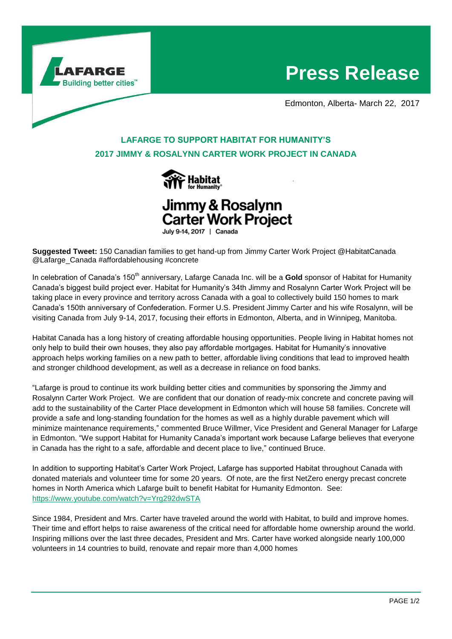

# **Press Release**

Edmonton, Alberta- March 22, 2017

# **LAFARGE TO SUPPORT HABITAT FOR HUMANITY'S 2017 JIMMY & ROSALYNN CARTER WORK PROJECT IN CANADA**





July 9-14, 2017 | Canada

**Suggested Tweet:** 150 Canadian families to get hand-up from Jimmy Carter Work Project @HabitatCanada @Lafarge\_Canada #affordablehousing #concrete

In celebration of Canada's 150<sup>th</sup> anniversary, Lafarge Canada Inc. will be a Gold sponsor of Habitat for Humanity Canada's biggest build project ever. Habitat for Humanity's 34th Jimmy and Rosalynn Carter Work Project will be taking place in every province and territory across Canada with a goal to collectively build 150 homes to mark Canada's 150th anniversary of Confederation. Former U.S. President Jimmy Carter and his wife Rosalynn, will be visiting Canada from July 9-14, 2017, focusing their efforts in Edmonton, Alberta, and in Winnipeg, Manitoba.

Habitat Canada has a long history of creating affordable housing opportunities. People living in Habitat homes not only help to build their own houses, they also pay affordable mortgages. Habitat for Humanity's innovative approach helps working families on a new path to better, affordable living conditions that lead to improved health and stronger childhood development, as well as a decrease in reliance on food banks.

"Lafarge is proud to continue its work building better cities and communities by sponsoring the Jimmy and Rosalynn Carter Work Project. We are confident that our donation of ready-mix concrete and concrete paving will add to the sustainability of the Carter Place development in Edmonton which will house 58 families. Concrete will provide a safe and long-standing foundation for the homes as well as a highly durable pavement which will minimize maintenance requirements," commented Bruce Willmer, Vice President and General Manager for Lafarge in Edmonton. "We support Habitat for Humanity Canada's important work because Lafarge believes that everyone in Canada has the right to a safe, affordable and decent place to live," continued Bruce.

In addition to supporting Habitat's Carter Work Project, Lafarge has supported Habitat throughout Canada with donated materials and volunteer time for some 20 years. Of note, are the first NetZero energy precast concrete homes in North America which Lafarge built to benefit Habitat for Humanity Edmonton. See: <https://www.youtube.com/watch?v=Yrg292dwSTA>

Since 1984, President and Mrs. Carter have traveled around the world with Habitat, to build and improve homes. Their time and effort helps to raise awareness of the critical need for affordable home ownership around the world. Inspiring millions over the last three decades, President and Mrs. Carter have worked alongside nearly 100,000 volunteers in 14 countries to build, renovate and repair more than 4,000 homes